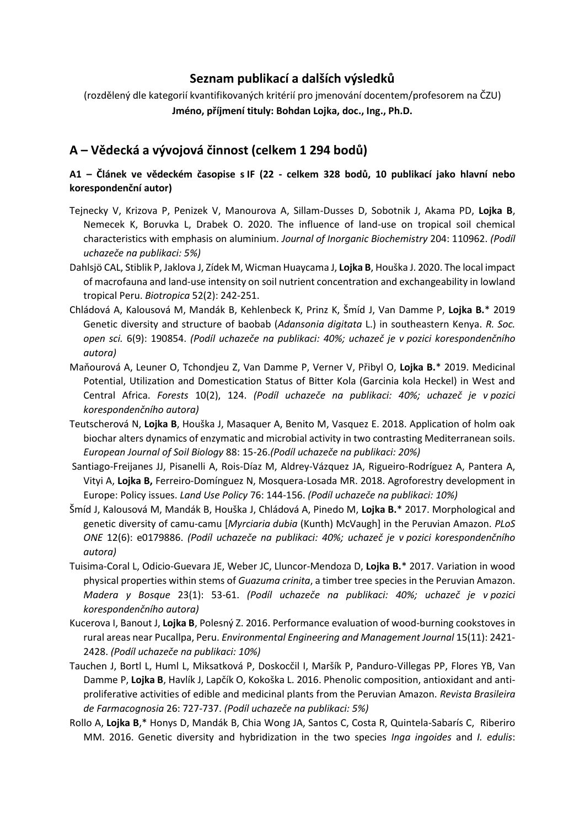## **Seznam publikací a dalších výsledků**

(rozdělený dle kategorií kvantifikovaných kritérií pro jmenování docentem/profesorem na ČZU) **Jméno, příjmení tituly: Bohdan Lojka, doc., Ing., Ph.D.**

# **A – Vědecká a vývojová činnost (celkem 1 294 bodů)**

### **A1 – Článek ve vědeckém časopise s IF (22 - celkem 328 bodů, 10 publikací jako hlavní nebo korespondenční autor)**

- Tejnecky V, Krizova P, Penizek V, Manourova A, Sillam-Dusses D, Sobotnik J, Akama PD, **Lojka B**, Nemecek K, Boruvka L, Drabek O. 2020. The influence of land-use on tropical soil chemical characteristics with emphasis on aluminium. *Journal of Inorganic Biochemistry* 204: 110962. *(Podíl uchazeče na publikaci: 5%)*
- Dahlsjö CAL, Stiblik P, Jaklova J, Zídek M, Wicman Huaycama J, **Lojka B**, Houška J. 2020. The local impact of macrofauna and land‐use intensity on soil nutrient concentration and exchangeability in lowland tropical Peru. *Biotropica* 52(2): 242-251.
- Chládová A, Kalousová M, Mandák B, Kehlenbeck K, Prinz K, Šmíd J, Van Damme P, **Lojka B.**\* 2019 Genetic diversity and structure of baobab (*Adansonia digitata* L.) in southeastern Kenya. *R. Soc. open sci.* 6(9): 190854. *(Podíl uchazeče na publikaci: 40%; uchazeč je v pozici korespondenčního autora)*
- Maňourová A, Leuner O, Tchondjeu Z, Van Damme P, Verner V, Přibyl O, **Lojka B.**\* 2019. Medicinal Potential, Utilization and Domestication Status of Bitter Kola (Garcinia kola Heckel) in West and Central Africa. *Forests* 10(2), 124. *(Podíl uchazeče na publikaci: 40%; uchazeč je v pozici korespondenčního autora)*
- Teutscherová N, **Lojka B**, Houška J, Masaquer A, Benito M, Vasquez E. 2018. Application of holm oak biochar alters dynamics of enzymatic and microbial activity in two contrasting Mediterranean soils. *European Journal of Soil Biology* 88: 15-26.*(Podíl uchazeče na publikaci: 20%)*
- Santiago-Freijanes JJ, Pisanelli A, Rois-Díaz M, Aldrey-Vázquez JA, Rigueiro-Rodríguez A, Pantera A, Vityi A, **Lojka B,** Ferreiro-Domínguez N, Mosquera-Losada MR. 2018. Agroforestry development in Europe: Policy issues. *Land Use Policy* 76: 144-156. *(Podíl uchazeče na publikaci: 10%)*
- Šmíd J, Kalousová M, Mandák B, Houška J, Chládová A, Pinedo M, **Lojka B.**\* 2017. Morphological and genetic diversity of camu-camu [*Myrciaria dubia* (Kunth) McVaugh] in the Peruvian Amazon. *PLoS ONE* 12(6): e0179886. *(Podíl uchazeče na publikaci: 40%; uchazeč je v pozici korespondenčního autora)*
- Tuisima-Coral L, Odicio-Guevara JE, Weber JC, Lluncor-Mendoza D, **Lojka B.**\* 2017. Variation in wood physical properties within stems of *Guazuma crinita*, a timber tree species in the Peruvian Amazon. *Madera y Bosque* 23(1): 53-61. *(Podíl uchazeče na publikaci: 40%; uchazeč je v pozici korespondenčního autora)*
- Kucerova I, Banout J, **Lojka B**, Polesný Z. 2016. Performance evaluation of wood-burning cookstoves in rural areas near Pucallpa, Peru. *Environmental Engineering and Management Journal* 15(11): 2421- 2428. *(Podíl uchazeče na publikaci: 10%)*
- Tauchen J, Bortl L, Huml L, Miksatková P, Doskocčil I, Maršík P, Panduro-Villegas PP, Flores YB, Van Damme P, **Lojka B**, Havlík J, Lapčík O, Kokoška L. 2016. Phenolic composition, antioxidant and antiproliferative activities of edible and medicinal plants from the Peruvian Amazon. *Revista Brasileira de Farmacognosia* 26: 727-737. *(Podíl uchazeče na publikaci: 5%)*
- Rollo A, **Lojka B**,\* Honys D, Mandák B, Chia Wong JA, Santos C, Costa R, Quintela-Sabarís C, Riberiro MM. 2016. Genetic diversity and hybridization in the two species *Inga ingoides* and *I. edulis*: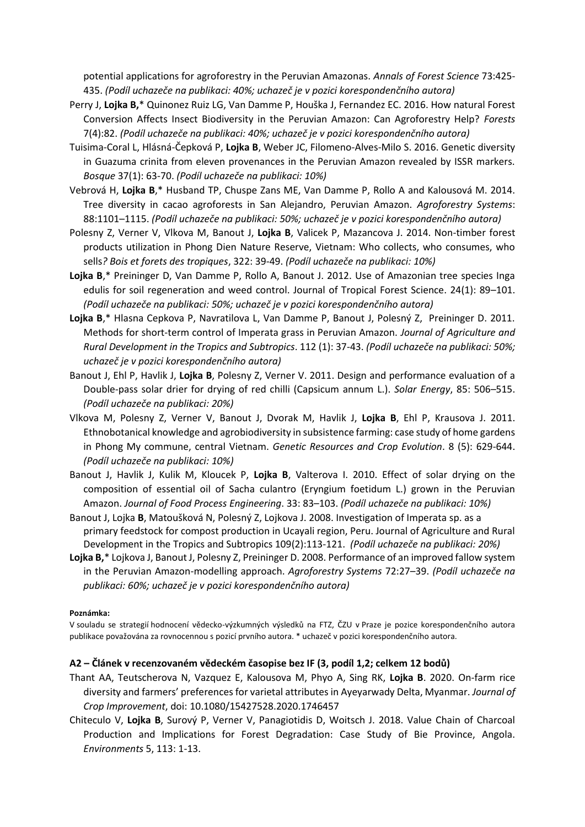potential applications for agroforestry in the Peruvian Amazonas. *Annals of Forest Science* 73:425- 435. *(Podíl uchazeče na publikaci: 40%; uchazeč je v pozici korespondenčního autora)*

- Perry J, **Lojka B,**\* Quinonez Ruiz LG, Van Damme P, Houška J, Fernandez EC. 2016. How natural Forest Conversion Affects Insect Biodiversity in the Peruvian Amazon: Can Agroforestry Help? *Forests* 7(4):82. *(Podíl uchazeče na publikaci: 40%; uchazeč je v pozici korespondenčního autora)*
- Tuisima-Coral L, Hlásná-Čepková P, **Lojka B**, Weber JC, Filomeno-Alves-Milo S. 2016. Genetic diversity in Guazuma crinita from eleven provenances in the Peruvian Amazon revealed by ISSR markers. *Bosque* 37(1): 63-70. *(Podíl uchazeče na publikaci: 10%)*
- Vebrová H, **Lojka B**,\* Husband TP, Chuspe Zans ME, Van Damme P, Rollo A and Kalousová M. 2014. Tree diversity in cacao agroforests in San Alejandro, Peruvian Amazon. *Agroforestry Systems*: 88:1101–1115. *(Podíl uchazeče na publikaci: 50%; uchazeč je v pozici korespondenčního autora)*
- Polesny Z, Verner V, Vlkova M, Banout J, **Lojka B**, Valicek P, Mazancova J. 2014. Non-timber forest products utilization in Phong Dien Nature Reserve, Vietnam: Who collects, who consumes, who sells*? Bois et forets des tropiques*, 322: 39-49. *(Podíl uchazeče na publikaci: 10%)*
- **Lojka B**,\* Preininger D, Van Damme P, Rollo A, Banout J. 2012. Use of Amazonian tree species Inga edulis for soil regeneration and weed control. Journal of Tropical Forest Science. 24(1): 89–101. *(Podíl uchazeče na publikaci: 50%; uchazeč je v pozici korespondenčního autora)*
- **Lojka B**,\* Hlasna Cepkova P, Navratilova L, Van Damme P, Banout J, Polesný Z, Preininger D. 2011. Methods for short-term control of Imperata grass in Peruvian Amazon. *Journal of Agriculture and Rural Development in the Tropics and Subtropics*. 112 (1): 37-43. *(Podíl uchazeče na publikaci: 50%; uchazeč je v pozici korespondenčního autora)*
- Banout J, Ehl P, Havlik J, **Lojka B**, Polesny Z, Verner V. 2011. Design and performance evaluation of a Double-pass solar drier for drying of red chilli (Capsicum annum L.). *Solar Energy*, 85: 506–515. *(Podíl uchazeče na publikaci: 20%)*
- Vlkova M, Polesny Z, Verner V, Banout J, Dvorak M, Havlik J, **Lojka B**, Ehl P, Krausova J. 2011. Ethnobotanical knowledge and agrobiodiversity in subsistence farming: case study of home gardens in Phong My commune, central Vietnam. *Genetic Resources and Crop Evolution*. 8 (5): 629-644. *(Podíl uchazeče na publikaci: 10%)*
- Banout J, Havlik J, Kulik M, Kloucek P, **Lojka B**, Valterova I. 2010. Effect of solar drying on the composition of essential oil of Sacha culantro (Eryngium foetidum L.) grown in the Peruvian Amazon. *Journal of Food Process Engineering*. 33: 83–103. *(Podíl uchazeče na publikaci: 10%)*
- Banout J, Lojka **B**, Matoušková N, Polesný Z, Lojkova J. 2008. Investigation of Imperata sp. as a primary feedstock for compost production in Ucayali region, Peru. Journal of Agriculture and Rural Development in the Tropics and Subtropics 109(2):113-121. *(Podíl uchazeče na publikaci: 20%)*
- **Lojka B,**\* Lojkova J, Banout J, Polesny Z, Preininger D. 2008. Performance of an improved fallow system in the Peruvian Amazon-modelling approach. *Agroforestry Systems* 72:27–39. *(Podíl uchazeče na publikaci: 60%; uchazeč je v pozici korespondenčního autora)*

#### **Poznámka:**

V souladu se strategií hodnocení vědecko-výzkumných výsledků na FTZ, ČZU v Praze je pozice korespondenčního autora publikace považována za rovnocennou s pozicí prvního autora. \* uchazeč v pozici korespondenčního autora.

#### **A2 – Článek v recenzovaném vědeckém časopise bez IF (3, podíl 1,2; celkem 12 bodů)**

- Thant AA, Teutscherova N, Vazquez E, Kalousova M, Phyo A, Sing RK, **Lojka B**. 2020. On-farm rice diversity and farmers' preferences for varietal attributes in Ayeyarwady Delta, Myanmar. *Journal of Crop Improvement*, doi: [10.1080/15427528.2020.1746457](https://doi.org/10.1080/15427528.2020.1746457)
- Chiteculo V, **Lojka B**, Surový P, Verner V, Panagiotidis D, Woitsch J. 2018. Value Chain of Charcoal Production and Implications for Forest Degradation: Case Study of Bie Province, Angola. *Environments* 5, 113: 1-13.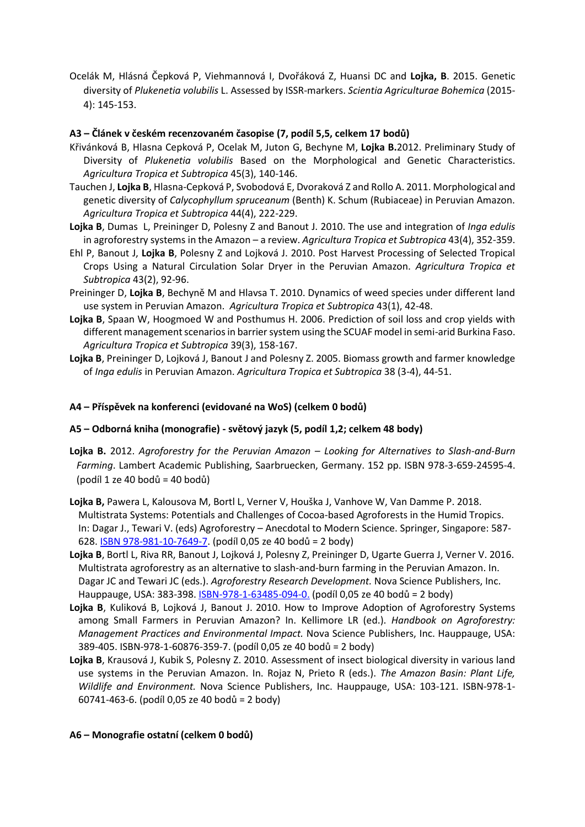Ocelák M, Hlásná Čepková P, Viehmannová I, Dvořáková Z, Huansi DC and **Lojka, B**. 2015. Genetic diversity of *Plukenetia volubilis* L. Assessed by ISSR-markers. *Scientia Agriculturae Bohemica* (2015- 4): 145-153.

#### **A3 – Článek v českém recenzovaném časopise (7, podíl 5,5, celkem 17 bodů)**

- Křivánková B, Hlasna Cepková P, Ocelak M, Juton G, Bechyne M, **Lojka B.**2012. Preliminary Study of Diversity of *Plukenetia volubilis* Based on the Morphological and Genetic Characteristics. *Agricultura Tropica et Subtropica* 45(3), 140-146.
- Tauchen J, **Lojka B**, Hlasna-Cepková P, Svobodová E, Dvoraková Z and Rollo A. 2011. Morphological and genetic diversity of *Calycophyllum spruceanum* (Benth) K. Schum (Rubiaceae) in Peruvian Amazon. *Agricultura Tropica et Subtropica* 44(4), 222-229.
- **Lojka B**, Dumas L, Preininger D, Polesny Z and Banout J. 2010. The use and integration of *Inga edulis* in agroforestry systems in the Amazon – a review. *Agricultura Tropica et Subtropica* 43(4), 352-359.
- Ehl P, Banout J, **Lojka B**, Polesny Z and Lojková J. 2010. Post Harvest Processing of Selected Tropical Crops Using a Natural Circulation Solar Dryer in the Peruvian Amazon. *Agricultura Tropica et Subtropica* 43(2), 92-96.
- Preininger D, **Lojka B**, Bechyně M and Hlavsa T. 2010. Dynamics of weed species under different land use system in Peruvian Amazon. *Agricultura Tropica et Subtropica* 43(1), 42-48.
- **Lojka B**, Spaan W, Hoogmoed W and Posthumus H. 2006. Prediction of soil loss and crop yields with different management scenarios in barrier system using the SCUAF model in semi-arid Burkina Faso. *Agricultura Tropica et Subtropica* 39(3), 158-167.
- **Lojka B**, Preininger D, Lojková J, Banout J and Polesny Z. 2005. Biomass growth and farmer knowledge of *Inga edulis* in Peruvian Amazon. *Agricultura Tropica et Subtropica* 38 (3-4), 44-51.

#### **A4 – Příspěvek na konferenci (evidované na WoS) (celkem 0 bodů)**

#### **A5 – Odborná kniha (monografie) - světový jazyk (5, podíl 1,2; celkem 48 body)**

- **Lojka B.** 2012. *Agroforestry for the Peruvian Amazon – Looking for Alternatives to Slash-and-Burn Farming*. Lambert Academic Publishing, Saarbruecken, Germany. 152 pp. ISBN 978-3-659-24595-4. (podíl 1 ze 40 bodů = 40 bodů)
- **Lojka B,** Pawera L, Kalousova M, Bortl L, Verner V, Houška J, Vanhove W, Van Damme P. 2018. Multistrata Systems: Potentials and Challenges of Cocoa-based Agroforests in the Humid Tropics. In: Dagar J., Tewari V. (eds) Agroforestry – Anecdotal to Modern Science. Springer, Singapore: 587- 628. [ISBN 978-981-10-7649-7.](https://link.springer.com/chapter/10.1007/978-981-10-7650-3_23) (podíl 0,05 ze 40 bodů = 2 body)
- **Lojka B**, Bortl L, Riva RR, Banout J, Lojková J, Polesny Z, Preininger D, Ugarte Guerra J, Verner V. 2016. Multistrata agroforestry as an alternative to slash-and-burn farming in the Peruvian Amazon. In. Dagar JC and Tewari JC (eds.). *Agroforestry Research Development.* Nova Science Publishers, Inc. Hauppauge, USA: 383-398. [ISBN-978-1-63485-094-0.](https://www.novapublishers.com/catalog/product_info.php?products_id=58208&osCsid=da96d68af15b88befd254f8180c4885c) (podíl 0,05 ze 40 bodů = 2 body)
- **Lojka B**, Kuliková B, Lojková J, Banout J. 2010. How to Improve Adoption of Agroforestry Systems among Small Farmers in Peruvian Amazon? In. Kellimore LR (ed.). *Handbook on Agroforestry: Management Practices and Environmental Impact.* Nova Science Publishers, Inc. Hauppauge, USA: 389-405. ISBN-978-1-60876-359-7. (podíl 0,05 ze 40 bodů = 2 body)
- **Lojka B**, Krausová J, Kubik S, Polesny Z. 2010. Assessment of insect biological diversity in various land use systems in the Peruvian Amazon. In. Rojaz N, Prieto R (eds.). *The Amazon Basin: Plant Life, Wildlife and Environment.* Nova Science Publishers, Inc. Hauppauge, USA: 103-121. ISBN-978-1- 60741-463-6. (podíl 0,05 ze 40 bodů = 2 body)

#### **A6 – Monografie ostatní (celkem 0 bodů)**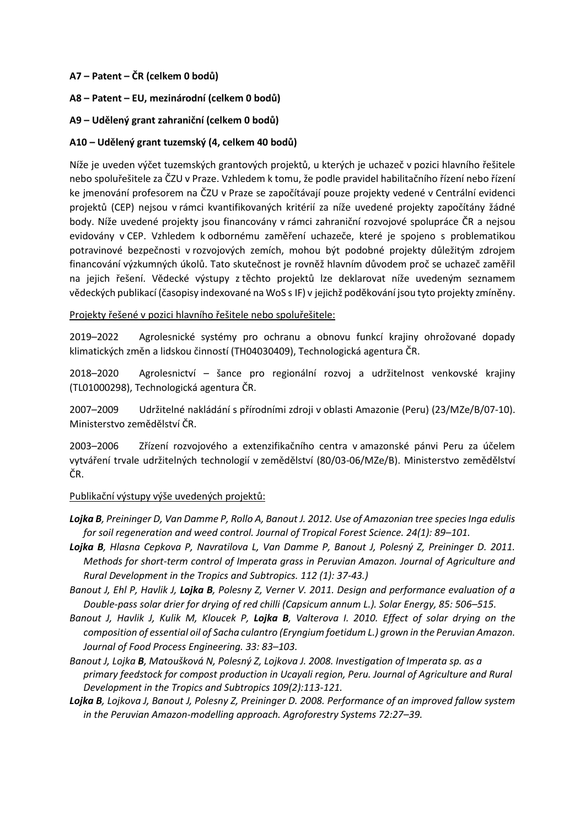#### **A7 – Patent – ČR (celkem 0 bodů)**

- **A8 – Patent – EU, mezinárodní (celkem 0 bodů)**
- **A9 – Udělený grant zahraniční (celkem 0 bodů)**

#### **A10 – Udělený grant tuzemský (4, celkem 40 bodů)**

Níže je uveden výčet tuzemských grantových projektů, u kterých je uchazeč v pozici hlavního řešitele nebo spoluřešitele za ČZU v Praze. Vzhledem k tomu, že podle pravidel habilitačního řízení nebo řízení ke jmenování profesorem na ČZU v Praze se započítávají pouze projekty vedené v Centrální evidenci projektů (CEP) nejsou v rámci kvantifikovaných kritérií za níže uvedené projekty započítány žádné body. Níže uvedené projekty jsou financovány v rámci zahraniční rozvojové spolupráce ČR a nejsou evidovány v CEP. Vzhledem k odbornému zaměření uchazeče, které je spojeno s problematikou potravinové bezpečnosti v rozvojových zemích, mohou být podobné projekty důležitým zdrojem financování výzkumných úkolů. Tato skutečnost je rovněž hlavním důvodem proč se uchazeč zaměřil na jejich řešení. Vědecké výstupy z těchto projektů lze deklarovat níže uvedeným seznamem vědeckých publikací (časopisy indexované na WoS s IF) v jejichž poděkování jsou tyto projekty zmíněny.

#### Projekty řešené v pozici hlavního řešitele nebo spoluřešitele:

2019–2022 Agrolesnické systémy pro ochranu a obnovu funkcí krajiny ohrožované dopady klimatických změn a lidskou činností (TH04030409), Technologická agentura ČR.

2018–2020 Agrolesnictví – šance pro regionální rozvoj a udržitelnost venkovské krajiny (TL01000298), Technologická agentura ČR.

2007–2009 Udržitelné nakládání s přírodními zdroji v oblasti Amazonie (Peru) (23/MZe/B/07-10). Ministerstvo zemědělství ČR.

2003–2006 Zřízení rozvojového a extenzifikačního centra v amazonské pánvi Peru za účelem vytváření trvale udržitelných technologií v zemědělství (80/03-06/MZe/B). Ministerstvo zemědělství ČR.

#### Publikační výstupy výše uvedených projektů:

- *Lojka B, Preininger D, Van Damme P, Rollo A, Banout J. 2012. Use of Amazonian tree species Inga edulis for soil regeneration and weed control. Journal of Tropical Forest Science. 24(1): 89–101.*
- *Lojka B, Hlasna Cepkova P, Navratilova L, Van Damme P, Banout J, Polesný Z, Preininger D. 2011. Methods for short-term control of Imperata grass in Peruvian Amazon. Journal of Agriculture and Rural Development in the Tropics and Subtropics. 112 (1): 37-43.)*
- *Banout J, Ehl P, Havlik J, Lojka B, Polesny Z, Verner V. 2011. Design and performance evaluation of a Double-pass solar drier for drying of red chilli (Capsicum annum L.). Solar Energy, 85: 506–515.*
- *Banout J, Havlik J, Kulik M, Kloucek P, Lojka B, Valterova I. 2010. Effect of solar drying on the composition of essential oil of Sacha culantro (Eryngium foetidum L.) grown in the Peruvian Amazon. Journal of Food Process Engineering. 33: 83–103.*
- *Banout J, Lojka B, Matoušková N, Polesný Z, Lojkova J. 2008. Investigation of Imperata sp. as a primary feedstock for compost production in Ucayali region, Peru. Journal of Agriculture and Rural Development in the Tropics and Subtropics 109(2):113-121.*
- *Lojka B, Lojkova J, Banout J, Polesny Z, Preininger D. 2008. Performance of an improved fallow system in the Peruvian Amazon-modelling approach. Agroforestry Systems 72:27–39.*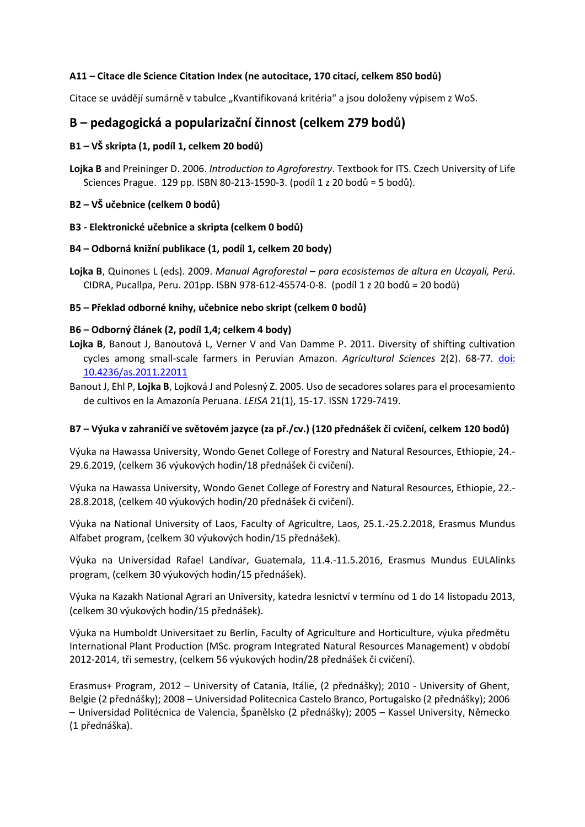#### **A11 – Citace dle Science Citation Index (ne autocitace, 170 citací, celkem 850 bodů)**

Citace se uvádějí sumárně v tabulce "Kvantifikovaná kritéria" a jsou doloženy výpisem z WoS.

## **B – pedagogická a popularizační činnost (celkem 279 bodů)**

#### **B1 – VŠ skripta (1, podíl 1, celkem 20 bodů)**

**Lojka B** and Preininger D. 2006. *Introduction to Agroforestry*. Textbook for ITS. Czech University of Life Sciences Prague. 129 pp. ISBN 80-213-1590-3. (podíl 1 z 20 bodů = 5 bodů).

#### **B2 – VŠ učebnice (celkem 0 bodů)**

#### **B3 - Elektronické učebnice a skripta (celkem 0 bodů)**

#### **B4 – Odborná knižní publikace (1, podíl 1, celkem 20 body)**

**Lojka B**, Quinones L (eds). 2009. *Manual Agroforestal – para ecosistemas de altura en Ucayali, Perú*. CIDRA, Pucallpa, Peru. 201pp. ISBN 978-612-45574-0-8. (podíl 1 z 20 bodů = 20 bodů)

#### **B5 – Překlad odborné knihy, učebnice nebo skript (celkem 0 bodů)**

#### **B6 – Odborný článek (2, podíl 1,4; celkem 4 body)**

- **Lojka B**, Banout J, Banoutová L, Verner V and Van Damme P. 2011. Diversity of shifting cultivation cycles among small-scale farmers in Peruvian Amazon. *Agricultural Sciences* 2(2). 68-77*.* [doi:](http://www.scirp.org/journal/PaperInformation.aspx?paperID=5001)  [10.4236/as.2011.22011](http://www.scirp.org/journal/PaperInformation.aspx?paperID=5001)
- Banout J, Ehl P, **Lojka B**, Lojková J and Polesný Z. 2005. Uso de secadores solares para el procesamiento de cultivos en la Amazonía Peruana. *LEISA* 21(1), 15-17. ISSN 1729-7419.

#### **B7 – Výuka v zahraničí ve světovém jazyce (za př./cv.) (120 přednášek či cvičení, celkem 120 bodů)**

Výuka na Hawassa University, Wondo Genet College of Forestry and Natural Resources, Ethiopie, 24.- 29.6.2019, (celkem 36 výukových hodin/18 přednášek či cvičení).

Výuka na Hawassa University, Wondo Genet College of Forestry and Natural Resources, Ethiopie, 22.- 28.8.2018, (celkem 40 výukových hodin/20 přednášek či cvičení).

Výuka na National University of Laos, Faculty of Agricultre, Laos, 25.1.-25.2.2018, Erasmus Mundus Alfabet program, (celkem 30 výukových hodin/15 přednášek).

Výuka na Universidad Rafael Landívar, Guatemala, 11.4.-11.5.2016, Erasmus Mundus EULAlinks program, (celkem 30 výukových hodin/15 přednášek).

Výuka na Kazakh National Agrari an University, katedra lesnictví v termínu od 1 do 14 listopadu 2013, (celkem 30 výukových hodin/15 přednášek).

Výuka na Humboldt Universitaet zu Berlin, Faculty of Agriculture and Horticulture, výuka předmětu International Plant Production (MSc. program Integrated Natural Resources Management) v období 2012-2014, tři semestry, (celkem 56 výukových hodin/28 přednášek či cvičení).

Erasmus+ Program, 2012 – University of Catania, Itálie, (2 přednášky); 2010 - University of Ghent, Belgie (2 přednášky); 2008 – Universidad Politecnica Castelo Branco, Portugalsko (2 přednášky); 2006 – Universidad Politécnica de Valencia, Španělsko (2 přednášky); 2005 – Kassel University, Německo (1 přednáška).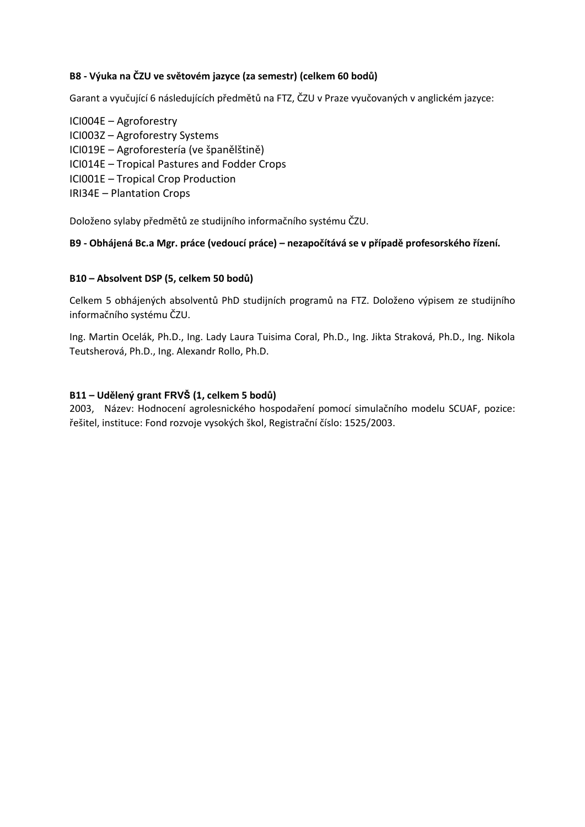### **B8 - Výuka na ČZU ve světovém jazyce (za semestr) (celkem 60 bodů)**

Garant a vyučující 6 následujících předmětů na FTZ, ČZU v Praze vyučovaných v anglickém jazyce:

ICI004E – Agroforestry ICI003Z – Agroforestry Systems ICI019E – Agroforestería (ve španělštině) ICI014E – Tropical Pastures and Fodder Crops ICI001E – Tropical Crop Production IRI34E – Plantation Crops

Doloženo sylaby předmětů ze studijního informačního systému ČZU.

#### **B9 - Obhájená Bc.a Mgr. práce (vedoucí práce) – nezapočítává se v případě profesorského řízení.**

#### **B10 – Absolvent DSP (5, celkem 50 bodů)**

Celkem 5 obhájených absolventů PhD studijních programů na FTZ. Doloženo výpisem ze studijního informačního systému ČZU.

Ing. Martin Ocelák, Ph.D., Ing. Lady Laura Tuisima Coral, Ph.D., Ing. Jikta Straková, Ph.D., Ing. Nikola Teutsherová, Ph.D., Ing. Alexandr Rollo, Ph.D.

#### **B11 – Udělený grant FRVŠ (1, celkem 5 bodů)**

2003, Název: Hodnocení agrolesnického hospodaření pomocí simulačního modelu SCUAF, pozice: řešitel, instituce: Fond rozvoje vysokých škol, Registrační číslo: 1525/2003.